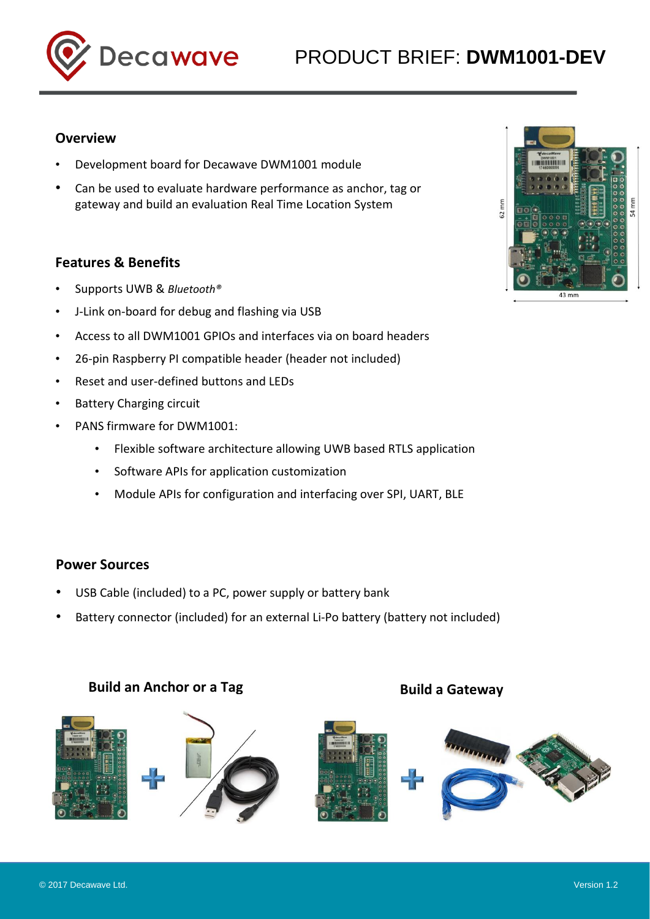



# **Overview**

- Development board for Decawave DWM1001 module
- Can be used to evaluate hardware performance as anchor, tag or gateway and build an evaluation Real Time Location System

# **Features & Benefits**

- Supports UWB & *Bluetooth®*
- J-Link on-board for debug and flashing via USB
- Access to all DWM1001 GPIOs and interfaces via on board headers
- 26-pin Raspberry PI compatible header (header not included)
- Reset and user-defined buttons and LEDs
- Battery Charging circuit
- PANS firmware for DWM1001:
	- Flexible software architecture allowing UWB based RTLS application
	- Software APIs for application customization
	- Module APIs for configuration and interfacing over SPI, UART, BLE

### **Power Sources**

- USB Cable (included) to a PC, power supply or battery bank
- Battery connector (included) for an external Li-Po battery (battery not included)

# **Build an Anchor or a Tag build a Gateway**